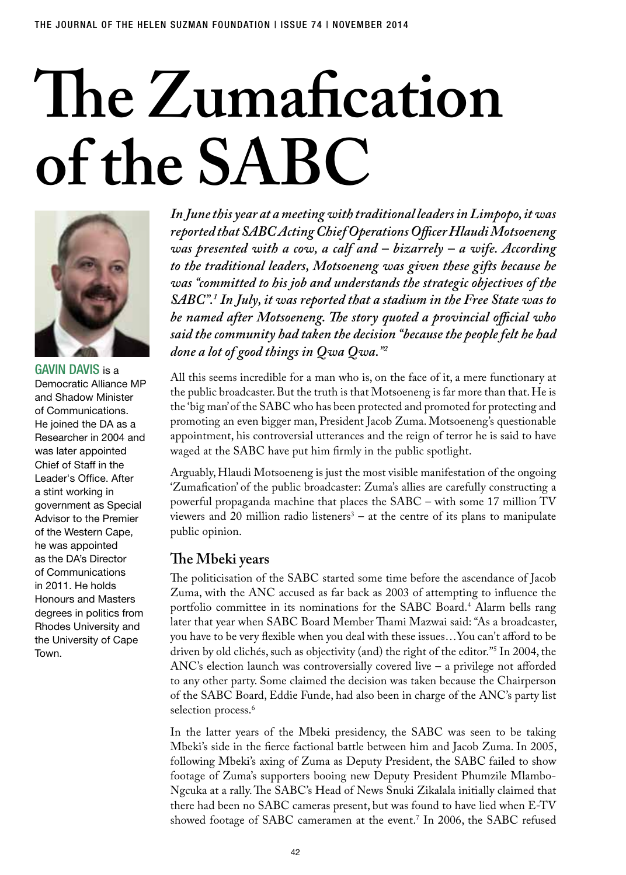# **The Zumafication of the SABC**



**GAVIN DAVIS is a** Democratic Alliance MP and Shadow Minister of Communications. He joined the DA as a Researcher in 2004 and was later appointed Chief of Staff in the Leader's Office. After a stint working in government as Special Advisor to the Premier of the Western Cape, he was appointed as the DA's Director of Communications in 2011. He holds Honours and Masters degrees in politics from Rhodes University and the University of Cape Town.

*In June this year at a meeting with traditional leaders in Limpopo, it was reported that SABC Acting Chief Operations Officer Hlaudi Motsoeneng was presented with a cow, a calf and – bizarrely – a wife. According to the traditional leaders, Motsoeneng was given these gifts because he was "committed to his job and understands the strategic objectives of the SABC".1 In July, it was reported that a stadium in the Free State was to be named after Motsoeneng. The story quoted a provincial official who said the community had taken the decision "because the people felt he had done a lot of good things in Qwa Qwa."2*

All this seems incredible for a man who is, on the face of it, a mere functionary at the public broadcaster. But the truth is that Motsoeneng is far more than that. He is the 'big man' of the SABC who has been protected and promoted for protecting and promoting an even bigger man, President Jacob Zuma. Motsoeneng's questionable appointment, his controversial utterances and the reign of terror he is said to have waged at the SABC have put him firmly in the public spotlight.

Arguably, Hlaudi Motsoeneng is just the most visible manifestation of the ongoing 'Zumafication' of the public broadcaster: Zuma's allies are carefully constructing a powerful propaganda machine that places the SABC – with some 17 million TV viewers and 20 million radio listeners<sup>3</sup> – at the centre of its plans to manipulate public opinion.

# **The Mbeki years**

The politicisation of the SABC started some time before the ascendance of Jacob Zuma, with the ANC accused as far back as 2003 of attempting to influence the portfolio committee in its nominations for the SABC Board.4 Alarm bells rang later that year when SABC Board Member Thami Mazwai said: "As a broadcaster, you have to be very flexible when you deal with these issues…You can't afford to be driven by old clichés, such as objectivity (and) the right of the editor."5 In 2004, the ANC's election launch was controversially covered live – a privilege not afforded to any other party. Some claimed the decision was taken because the Chairperson of the SABC Board, Eddie Funde, had also been in charge of the ANC's party list selection process.<sup>6</sup>

In the latter years of the Mbeki presidency, the SABC was seen to be taking Mbeki's side in the fierce factional battle between him and Jacob Zuma. In 2005, following Mbeki's axing of Zuma as Deputy President, the SABC failed to show footage of Zuma's supporters booing new Deputy President Phumzile Mlambo-Ngcuka at a rally. The SABC's Head of News Snuki Zikalala initially claimed that there had been no SABC cameras present, but was found to have lied when E-TV showed footage of SABC cameramen at the event.7 In 2006, the SABC refused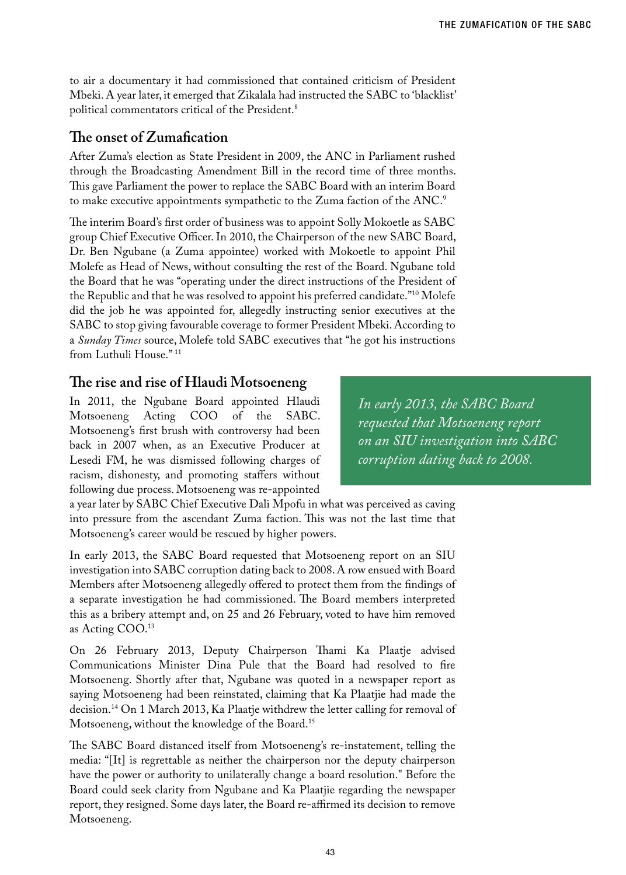to air a documentary it had commissioned that contained criticism of President Mbeki. A year later, it emerged that Zikalala had instructed the SABC to 'blacklist' political commentators critical of the President.8

# **The onset of Zumafication**

After Zuma's election as State President in 2009, the ANC in Parliament rushed through the Broadcasting Amendment Bill in the record time of three months. This gave Parliament the power to replace the SABC Board with an interim Board to make executive appointments sympathetic to the Zuma faction of the ANC.<sup>9</sup>

The interim Board's first order of business was to appoint Solly Mokoetle as SABC group Chief Executive Officer. In 2010, the Chairperson of the new SABC Board, Dr. Ben Ngubane (a Zuma appointee) worked with Mokoetle to appoint Phil Molefe as Head of News, without consulting the rest of the Board. Ngubane told the Board that he was "operating under the direct instructions of the President of the Republic and that he was resolved to appoint his preferred candidate."10 Molefe did the job he was appointed for, allegedly instructing senior executives at the SABC to stop giving favourable coverage to former President Mbeki. According to a *Sunday Times* source, Molefe told SABC executives that "he got his instructions from Luthuli House." 11

# **The rise and rise of Hlaudi Motsoeneng**

In 2011, the Ngubane Board appointed Hlaudi Motsoeneng Acting COO of the SABC. Motsoeneng's first brush with controversy had been back in 2007 when, as an Executive Producer at Lesedi FM, he was dismissed following charges of racism, dishonesty, and promoting staffers without following due process. Motsoeneng was re-appointed

*In early 2013, the SABC Board requested that Motsoeneng report on an SIU investigation into SABC corruption dating back to 2008.*

a year later by SABC Chief Executive Dali Mpofu in what was perceived as caving into pressure from the ascendant Zuma faction. This was not the last time that Motsoeneng's career would be rescued by higher powers.

In early 2013, the SABC Board requested that Motsoeneng report on an SIU investigation into SABC corruption dating back to 2008. A row ensued with Board Members after Motsoeneng allegedly offered to protect them from the findings of a separate investigation he had commissioned. The Board members interpreted this as a bribery attempt and, on 25 and 26 February, voted to have him removed as Acting COO.13

On 26 February 2013, Deputy Chairperson Thami Ka Plaatje advised Communications Minister Dina Pule that the Board had resolved to fire Motsoeneng. Shortly after that, Ngubane was quoted in a newspaper report as saying Motsoeneng had been reinstated, claiming that Ka Plaatjie had made the decision.14 On 1 March 2013, Ka Plaatje withdrew the letter calling for removal of Motsoeneng, without the knowledge of the Board.15

The SABC Board distanced itself from Motsoeneng's re-instatement, telling the media: "[It] is regrettable as neither the chairperson nor the deputy chairperson have the power or authority to unilaterally change a board resolution." Before the Board could seek clarity from Ngubane and Ka Plaatjie regarding the newspaper report, they resigned. Some days later, the Board re-affirmed its decision to remove Motsoeneng.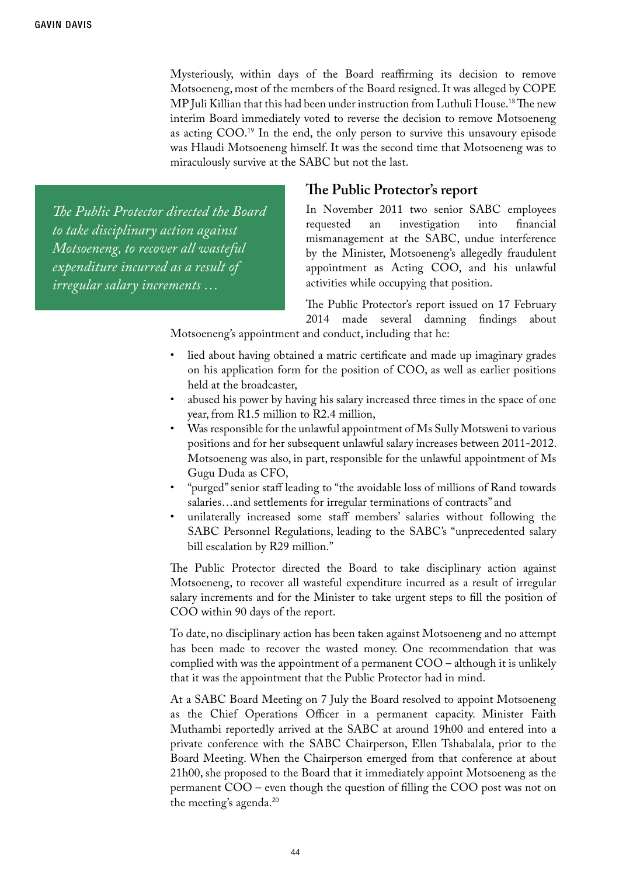Mysteriously, within days of the Board reaffirming its decision to remove Motsoeneng, most of the members of the Board resigned. It was alleged by COPE MP Juli Killian that this had been under instruction from Luthuli House.18 The new interim Board immediately voted to reverse the decision to remove Motsoeneng as acting COO.19 In the end, the only person to survive this unsavoury episode was Hlaudi Motsoeneng himself. It was the second time that Motsoeneng was to miraculously survive at the SABC but not the last.

*The Public Protector directed the Board to take disciplinary action against Motsoeneng, to recover all wasteful expenditure incurred as a result of irregular salary increments …*

### **The Public Protector's report**

In November 2011 two senior SABC employees requested an investigation into financial mismanagement at the SABC, undue interference by the Minister, Motsoeneng's allegedly fraudulent appointment as Acting COO, and his unlawful activities while occupying that position.

The Public Protector's report issued on 17 February 2014 made several damning findings about

Motsoeneng's appointment and conduct, including that he:

- lied about having obtained a matric certificate and made up imaginary grades on his application form for the position of COO, as well as earlier positions held at the broadcaster,
- abused his power by having his salary increased three times in the space of one year, from R1.5 million to R2.4 million,
- Was responsible for the unlawful appointment of Ms Sully Motsweni to various positions and for her subsequent unlawful salary increases between 2011-2012. Motsoeneng was also, in part, responsible for the unlawful appointment of Ms Gugu Duda as CFO,
- "purged" senior staff leading to "the avoidable loss of millions of Rand towards salaries…and settlements for irregular terminations of contracts" and
- • unilaterally increased some staff members' salaries without following the SABC Personnel Regulations, leading to the SABC's "unprecedented salary bill escalation by R29 million."

The Public Protector directed the Board to take disciplinary action against Motsoeneng, to recover all wasteful expenditure incurred as a result of irregular salary increments and for the Minister to take urgent steps to fill the position of COO within 90 days of the report.

To date, no disciplinary action has been taken against Motsoeneng and no attempt has been made to recover the wasted money. One recommendation that was complied with was the appointment of a permanent COO – although it is unlikely that it was the appointment that the Public Protector had in mind.

At a SABC Board Meeting on 7 July the Board resolved to appoint Motsoeneng as the Chief Operations Officer in a permanent capacity. Minister Faith Muthambi reportedly arrived at the SABC at around 19h00 and entered into a private conference with the SABC Chairperson, Ellen Tshabalala, prior to the Board Meeting. When the Chairperson emerged from that conference at about 21h00, she proposed to the Board that it immediately appoint Motsoeneng as the permanent COO – even though the question of filling the COO post was not on the meeting's agenda.<sup>20</sup>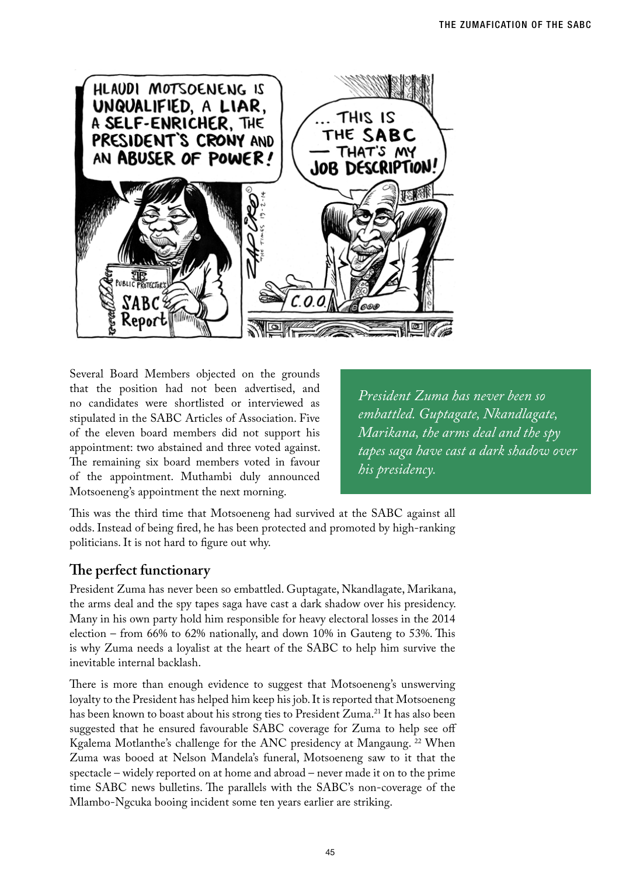

Several Board Members objected on the grounds that the position had not been advertised, and no candidates were shortlisted or interviewed as stipulated in the SABC Articles of Association. Five of the eleven board members did not support his appointment: two abstained and three voted against. The remaining six board members voted in favour of the appointment. Muthambi duly announced Motsoeneng's appointment the next morning.

*President Zuma has never been so embattled. Guptagate, Nkandlagate, Marikana, the arms deal and the spy tapes saga have cast a dark shadow over his presidency.* 

This was the third time that Motsoeneng had survived at the SABC against all odds. Instead of being fired, he has been protected and promoted by high-ranking politicians. It is not hard to figure out why.

# **The perfect functionary**

President Zuma has never been so embattled. Guptagate, Nkandlagate, Marikana, the arms deal and the spy tapes saga have cast a dark shadow over his presidency. Many in his own party hold him responsible for heavy electoral losses in the 2014 election – from 66% to 62% nationally, and down 10% in Gauteng to 53%. This is why Zuma needs a loyalist at the heart of the SABC to help him survive the inevitable internal backlash.

There is more than enough evidence to suggest that Motsoeneng's unswerving loyalty to the President has helped him keep his job. It is reported that Motsoeneng has been known to boast about his strong ties to President Zuma.<sup>21</sup> It has also been suggested that he ensured favourable SABC coverage for Zuma to help see off Kgalema Motlanthe's challenge for the ANC presidency at Mangaung. 22 When Zuma was booed at Nelson Mandela's funeral, Motsoeneng saw to it that the spectacle – widely reported on at home and abroad – never made it on to the prime time SABC news bulletins. The parallels with the SABC's non-coverage of the Mlambo-Ngcuka booing incident some ten years earlier are striking.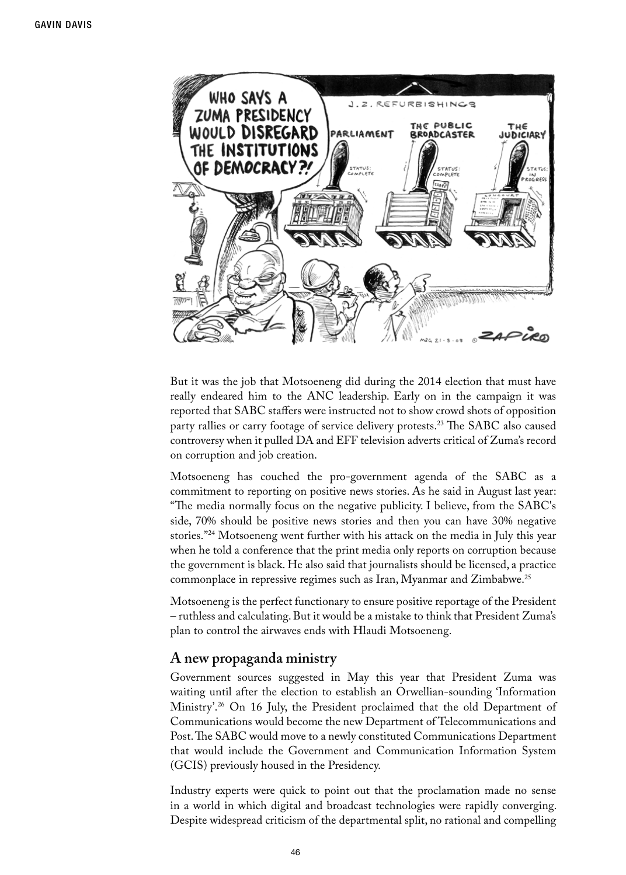

But it was the job that Motsoeneng did during the 2014 election that must have really endeared him to the ANC leadership. Early on in the campaign it was reported that SABC staffers were instructed not to show crowd shots of opposition party rallies or carry footage of service delivery protests.<sup>23</sup> The SABC also caused controversy when it pulled DA and EFF television adverts critical of Zuma's record on corruption and job creation.

Motsoeneng has couched the pro-government agenda of the SABC as a commitment to reporting on positive news stories. As he said in August last year: "The media normally focus on the negative publicity. I believe, from the SABC's side, 70% should be positive news stories and then you can have 30% negative stories."24 Motsoeneng went further with his attack on the media in July this year when he told a conference that the print media only reports on corruption because the government is black. He also said that journalists should be licensed, a practice commonplace in repressive regimes such as Iran, Myanmar and Zimbabwe.25

Motsoeneng is the perfect functionary to ensure positive reportage of the President – ruthless and calculating. But it would be a mistake to think that President Zuma's plan to control the airwaves ends with Hlaudi Motsoeneng.

### **A new propaganda ministry**

Government sources suggested in May this year that President Zuma was waiting until after the election to establish an Orwellian-sounding 'Information Ministry'.26 On 16 July, the President proclaimed that the old Department of Communications would become the new Department of Telecommunications and Post. The SABC would move to a newly constituted Communications Department that would include the Government and Communication Information System (GCIS) previously housed in the Presidency.

Industry experts were quick to point out that the proclamation made no sense in a world in which digital and broadcast technologies were rapidly converging. Despite widespread criticism of the departmental split, no rational and compelling